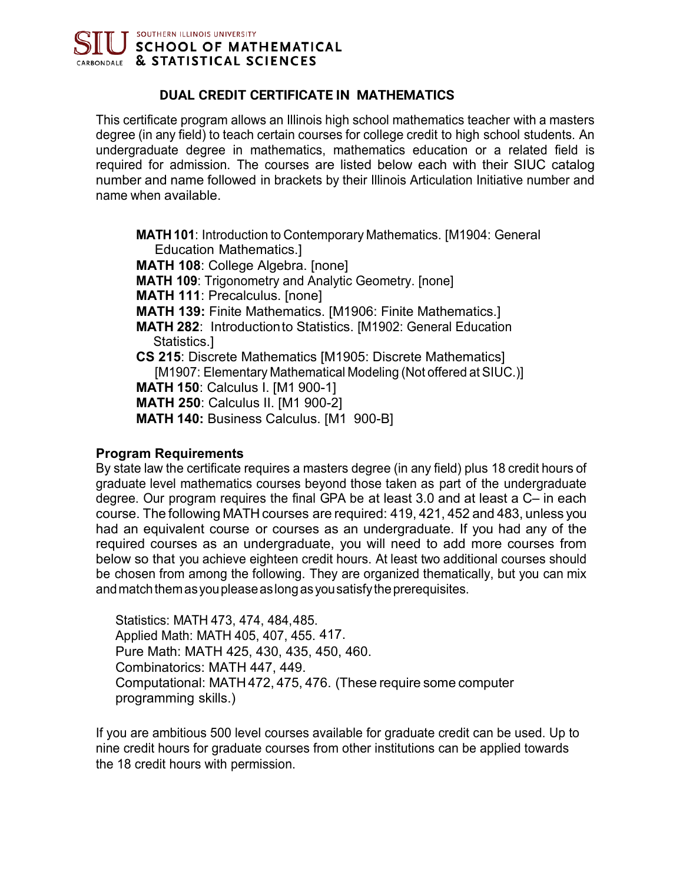

# **DUAL CREDIT CERTIFICATE IN MATHEMATICS**

This certificate program allows an Illinois high school mathematics teacher with a masters degree (in any field) to teach certain courses for college credit to high school students. An undergraduate degree in mathematics, mathematics education or a related field is required for admission. The courses are listed below each with their SIUC catalog number and name followed in brackets by their Illinois Articulation Initiative number and name when available.

- **MATH 101**: Introduction to Contemporary Mathematics. [M1904: General Education Mathematics.]
- **MATH 108**: College Algebra. [none]
- **MATH 109**: Trigonometry and Analytic Geometry. [none]
- **MATH 111**: Precalculus. [none]
- **MATH 139:** Finite Mathematics. [M1906: Finite Mathematics.]
- **MATH 282**: Introductionto Statistics. [M1902: General Education Statistics.]
- **CS 215**: Discrete Mathematics [M1905: Discrete Mathematics] [M1907: Elementary Mathematical Modeling (Not offered at SIUC.)] **MATH 150**: Calculus I. [M1 900-1]
- **MATH 250**: Calculus II. [M1 900-2]
- **MATH 140:** Business Calculus. [M1 900-B]

### **Program Requirements**

By state law the certificate requires a masters degree (in any field) plus 18 credit hours of graduate level mathematics courses beyond those taken as part of the undergraduate degree. Our program requires the final GPA be at least 3.0 and at least a C– in each course. The following MATH courses are required: 419, 421, 452 and 483, unless you had an equivalent course or courses as an undergraduate. If you had any of the required courses as an undergraduate, you will need to add more courses from below so that you achieve eighteen credit hours. At least two additional courses should be chosen from among the following. They are organized thematically, but you can mix and match them as you please as long as you satisfy the prerequisites.

Statistics: MATH 473, 474, 484,485. Applied Math: MATH 405, 407, 455. 417.Pure Math: MATH 425, 430, 435, 450, 460. Combinatorics: MATH 447, 449. Computational: MATH 472, 475, 476. (These require some computer programming skills.)

If you are ambitious 500 level courses available for graduate credit can be used. Up to nine credit hours for graduate courses from other institutions can be applied towards the 18 credit hours with permission.